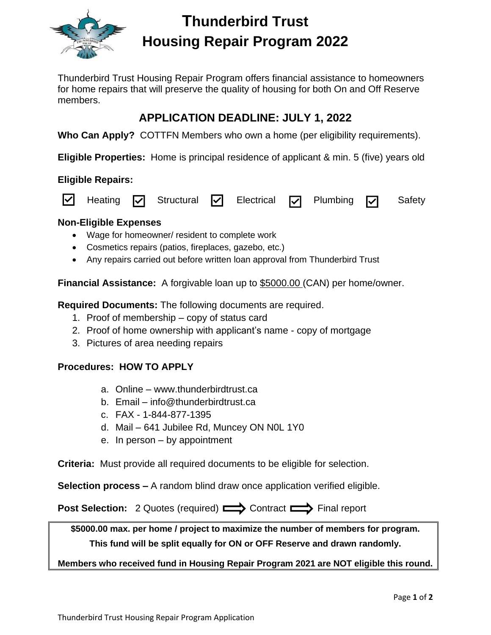

# **Thunderbird Trust Housing Repair Program 2022**

Thunderbird Trust Housing Repair Program offers financial assistance to homeowners for home repairs that will preserve the quality of housing for both On and Off Reserve members.

## **APPLICATION DEADLINE: JULY 1, 2022**

**Who Can Apply?** COTTFN Members who own a home (per eligibility requirements).

**Eligible Properties:** Home is principal residence of applicant & min. 5 (five) years old

### **Eligible Repairs:**



## **Non-Eligible Expenses**

- Wage for homeowner/ resident to complete work
- Cosmetics repairs (patios, fireplaces, gazebo, etc.)
- Any repairs carried out before written loan approval from Thunderbird Trust

**Financial Assistance:** A forgivable loan up to \$5000.00 (CAN) per home/owner.

**Required Documents:** The following documents are required.

- 1. Proof of membership copy of status card
- 2. Proof of home ownership with applicant's name copy of mortgage
- 3. Pictures of area needing repairs

## **Procedures: HOW TO APPLY**

- a. Online www.thunderbirdtrust.ca
- b. Email info@thunderbirdtrust.ca
- c. FAX 1-844-877-1395
- d. Mail 641 Jubilee Rd, Muncey ON N0L 1Y0
- e. In person by appointment

**Criteria:** Must provide all required documents to be eligible for selection.

**Selection process –** A random blind draw once application verified eligible.

**Post Selection:** 2 Quotes (required)  $\implies$  Contract  $\implies$  Final report

**\$5000.00 max. per home / project to maximize the number of members for program. This fund will be split equally for ON or OFF Reserve and drawn randomly.** 

**Members who received fund in Housing Repair Program 2021 are NOT eligible this round.**